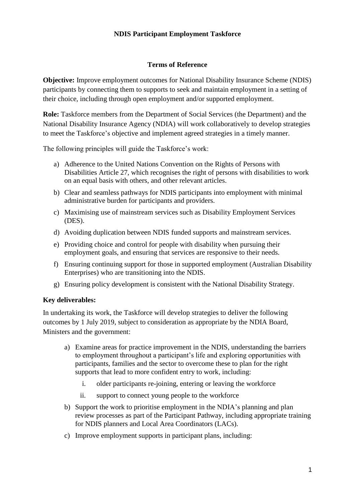### **NDIS Participant Employment Taskforce**

#### **Terms of Reference**

**Objective:** Improve employment outcomes for National Disability Insurance Scheme (NDIS) participants by connecting them to supports to seek and maintain employment in a setting of their choice, including through open employment and/or supported employment.

**Role:** Taskforce members from the Department of Social Services (the Department) and the National Disability Insurance Agency (NDIA) will work collaboratively to develop strategies to meet the Taskforce's objective and implement agreed strategies in a timely manner.

The following principles will guide the Taskforce's work:

- a) Adherence to the United Nations Convention on the Rights of Persons with Disabilities Article 27, which recognises the right of persons with disabilities to work on an equal basis with others, and other relevant articles.
- b) Clear and seamless pathways for NDIS participants into employment with minimal administrative burden for participants and providers.
- c) Maximising use of mainstream services such as Disability Employment Services (DES).
- d) Avoiding duplication between NDIS funded supports and mainstream services.
- e) Providing choice and control for people with disability when pursuing their employment goals, and ensuring that services are responsive to their needs.
- f) Ensuring continuing support for those in supported employment (Australian Disability Enterprises) who are transitioning into the NDIS.
- g) Ensuring policy development is consistent with the National Disability Strategy.

#### **Key deliverables:**

In undertaking its work, the Taskforce will develop strategies to deliver the following outcomes by 1 July 2019, subject to consideration as appropriate by the NDIA Board, Ministers and the government:

- a) Examine areas for practice improvement in the NDIS, understanding the barriers to employment throughout a participant's life and exploring opportunities with participants, families and the sector to overcome these to plan for the right supports that lead to more confident entry to work, including:
	- i. older participants re-joining, entering or leaving the workforce
	- ii. support to connect young people to the workforce
- b) Support the work to prioritise employment in the NDIA's planning and plan review processes as part of the Participant Pathway, including appropriate training for NDIS planners and Local Area Coordinators (LACs).
- c) Improve employment supports in participant plans, including: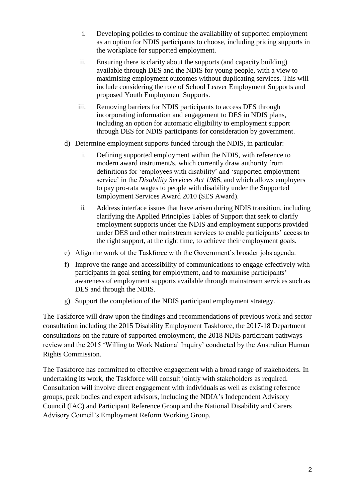- i. Developing policies to continue the availability of supported employment as an option for NDIS participants to choose, including pricing supports in the workplace for supported employment.
- ii. Ensuring there is clarity about the supports (and capacity building) available through DES and the NDIS for young people, with a view to maximising employment outcomes without duplicating services. This will include considering the role of School Leaver Employment Supports and proposed Youth Employment Supports.
- iii. Removing barriers for NDIS participants to access DES through incorporating information and engagement to DES in NDIS plans, including an option for automatic eligibility to employment support through DES for NDIS participants for consideration by government.
- d) Determine employment supports funded through the NDIS, in particular:
	- i. Defining supported employment within the NDIS, with reference to modern award instrument/s, which currently draw authority from definitions for 'employees with disability' and 'supported employment service' in the *Disability Services Act 1986*, and which allows employers to pay pro-rata wages to people with disability under the Supported Employment Services Award 2010 (SES Award).
	- ii. Address interface issues that have arisen during NDIS transition, including clarifying the Applied Principles Tables of Support that seek to clarify employment supports under the NDIS and employment supports provided under DES and other mainstream services to enable participants' access to the right support, at the right time, to achieve their employment goals.
- e) Align the work of the Taskforce with the Government's broader jobs agenda.
- f) Improve the range and accessibility of communications to engage effectively with participants in goal setting for employment, and to maximise participants' awareness of employment supports available through mainstream services such as DES and through the NDIS.
- g) Support the completion of the NDIS participant employment strategy.

The Taskforce will draw upon the findings and recommendations of previous work and sector consultation including the 2015 Disability Employment Taskforce, the 2017-18 Department consultations on the future of supported employment, the 2018 NDIS participant pathways review and the 2015 'Willing to Work National Inquiry' conducted by the Australian Human Rights Commission.

The Taskforce has committed to effective engagement with a broad range of stakeholders. In undertaking its work, the Taskforce will consult jointly with stakeholders as required. Consultation will involve direct engagement with individuals as well as existing reference groups, peak bodies and expert advisors, including the NDIA's Independent Advisory Council (IAC) and Participant Reference Group and the National Disability and Carers Advisory Council's Employment Reform Working Group.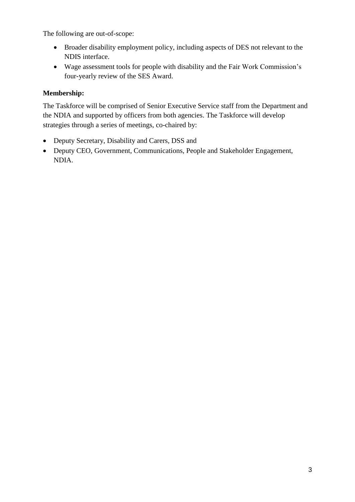The following are out-of-scope:

- Broader disability employment policy, including aspects of DES not relevant to the NDIS interface.
- Wage assessment tools for people with disability and the Fair Work Commission's four-yearly review of the SES Award.

## **Membership:**

The Taskforce will be comprised of Senior Executive Service staff from the Department and the NDIA and supported by officers from both agencies. The Taskforce will develop strategies through a series of meetings, co-chaired by:

- Deputy Secretary, Disability and Carers, DSS and
- Deputy CEO, Government, Communications, People and Stakeholder Engagement, NDIA.